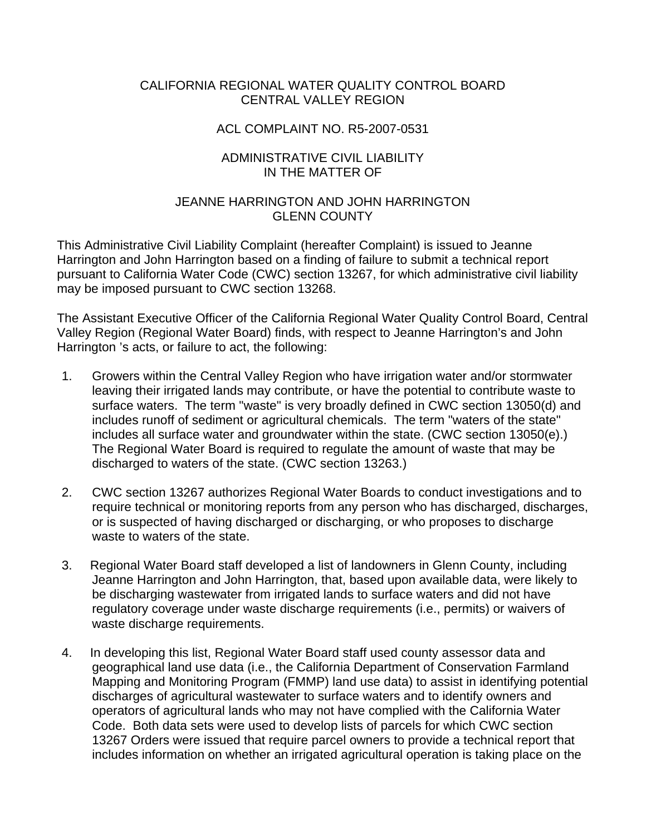### CALIFORNIA REGIONAL WATER QUALITY CONTROL BOARD CENTRAL VALLEY REGION

#### ACL COMPLAINT NO. R5-2007-0531

### ADMINISTRATIVE CIVIL LIABILITY IN THE MATTER OF

### JEANNE HARRINGTON AND JOHN HARRINGTON GLENN COUNTY

This Administrative Civil Liability Complaint (hereafter Complaint) is issued to Jeanne Harrington and John Harrington based on a finding of failure to submit a technical report pursuant to California Water Code (CWC) section 13267, for which administrative civil liability may be imposed pursuant to CWC section 13268.

The Assistant Executive Officer of the California Regional Water Quality Control Board, Central Valley Region (Regional Water Board) finds, with respect to Jeanne Harrington's and John Harrington 's acts, or failure to act, the following:

- 1. Growers within the Central Valley Region who have irrigation water and/or stormwater leaving their irrigated lands may contribute, or have the potential to contribute waste to surface waters. The term "waste" is very broadly defined in CWC section 13050(d) and includes runoff of sediment or agricultural chemicals. The term "waters of the state" includes all surface water and groundwater within the state. (CWC section 13050(e).) The Regional Water Board is required to regulate the amount of waste that may be discharged to waters of the state. (CWC section 13263.)
- 2. CWC section 13267 authorizes Regional Water Boards to conduct investigations and to require technical or monitoring reports from any person who has discharged, discharges, or is suspected of having discharged or discharging, or who proposes to discharge waste to waters of the state.
- 3. Regional Water Board staff developed a list of landowners in Glenn County, including Jeanne Harrington and John Harrington, that, based upon available data, were likely to be discharging wastewater from irrigated lands to surface waters and did not have regulatory coverage under waste discharge requirements (i.e., permits) or waivers of waste discharge requirements.
- 4. In developing this list, Regional Water Board staff used county assessor data and geographical land use data (i.e., the California Department of Conservation Farmland Mapping and Monitoring Program (FMMP) land use data) to assist in identifying potential discharges of agricultural wastewater to surface waters and to identify owners and operators of agricultural lands who may not have complied with the California Water Code. Both data sets were used to develop lists of parcels for which CWC section 13267 Orders were issued that require parcel owners to provide a technical report that includes information on whether an irrigated agricultural operation is taking place on the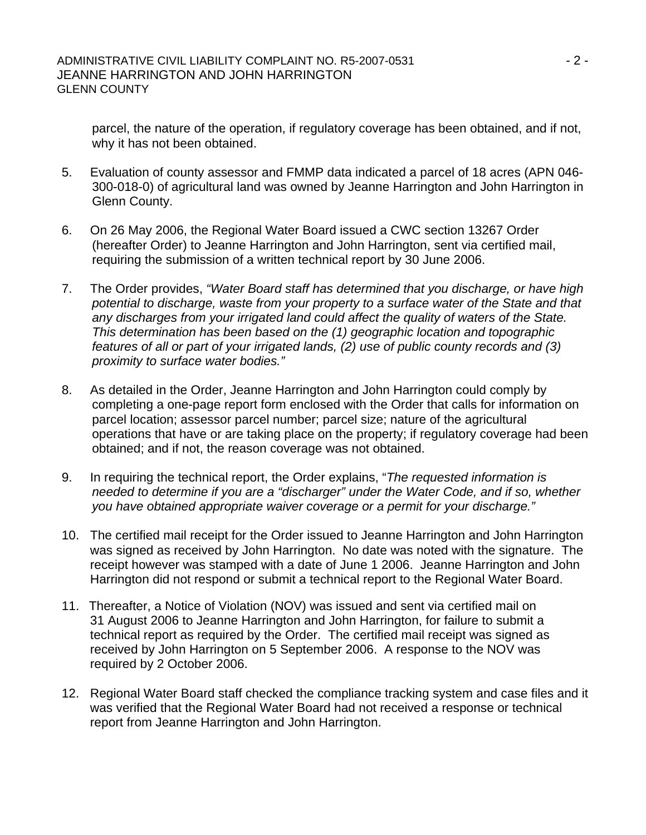parcel, the nature of the operation, if regulatory coverage has been obtained, and if not, why it has not been obtained.

- 5. Evaluation of county assessor and FMMP data indicated a parcel of 18 acres (APN 046- 300-018-0) of agricultural land was owned by Jeanne Harrington and John Harrington in Glenn County.
- 6. On 26 May 2006, the Regional Water Board issued a CWC section 13267 Order (hereafter Order) to Jeanne Harrington and John Harrington, sent via certified mail, requiring the submission of a written technical report by 30 June 2006.
- 7. The Order provides, *"Water Board staff has determined that you discharge, or have high potential to discharge, waste from your property to a surface water of the State and that any discharges from your irrigated land could affect the quality of waters of the State. This determination has been based on the (1) geographic location and topographic features of all or part of your irrigated lands, (2) use of public county records and (3) proximity to surface water bodies."*
- 8. As detailed in the Order, Jeanne Harrington and John Harrington could comply by completing a one-page report form enclosed with the Order that calls for information on parcel location; assessor parcel number; parcel size; nature of the agricultural operations that have or are taking place on the property; if regulatory coverage had been obtained; and if not, the reason coverage was not obtained.
- 9. In requiring the technical report, the Order explains, "*The requested information is needed to determine if you are a "discharger" under the Water Code, and if so, whether you have obtained appropriate waiver coverage or a permit for your discharge."*
- 10. The certified mail receipt for the Order issued to Jeanne Harrington and John Harrington was signed as received by John Harrington. No date was noted with the signature. The receipt however was stamped with a date of June 1 2006. Jeanne Harrington and John Harrington did not respond or submit a technical report to the Regional Water Board.
- 11. Thereafter, a Notice of Violation (NOV) was issued and sent via certified mail on 31 August 2006 to Jeanne Harrington and John Harrington, for failure to submit a technical report as required by the Order. The certified mail receipt was signed as received by John Harrington on 5 September 2006. A response to the NOV was required by 2 October 2006.
- 12. Regional Water Board staff checked the compliance tracking system and case files and it was verified that the Regional Water Board had not received a response or technical report from Jeanne Harrington and John Harrington.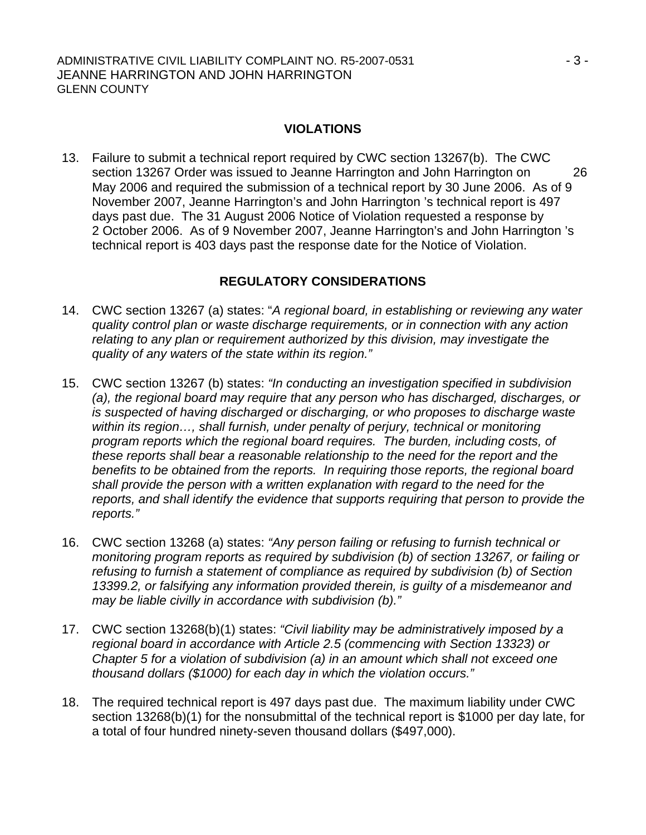## **VIOLATIONS**

13. Failure to submit a technical report required by CWC section 13267(b). The CWC section 13267 Order was issued to Jeanne Harrington and John Harrington on 26 May 2006 and required the submission of a technical report by 30 June 2006. As of 9 November 2007, Jeanne Harrington's and John Harrington 's technical report is 497 days past due. The 31 August 2006 Notice of Violation requested a response by 2 October 2006. As of 9 November 2007, Jeanne Harrington's and John Harrington 's technical report is 403 days past the response date for the Notice of Violation.

# **REGULATORY CONSIDERATIONS**

- 14. CWC section 13267 (a) states: "*A regional board, in establishing or reviewing any water quality control plan or waste discharge requirements, or in connection with any action relating to any plan or requirement authorized by this division, may investigate the quality of any waters of the state within its region."*
- 15. CWC section 13267 (b) states: *"In conducting an investigation specified in subdivision (a), the regional board may require that any person who has discharged, discharges, or is suspected of having discharged or discharging, or who proposes to discharge waste within its region…, shall furnish, under penalty of perjury, technical or monitoring program reports which the regional board requires. The burden, including costs, of these reports shall bear a reasonable relationship to the need for the report and the benefits to be obtained from the reports. In requiring those reports, the regional board shall provide the person with a written explanation with regard to the need for the reports, and shall identify the evidence that supports requiring that person to provide the reports."*
- 16. CWC section 13268 (a) states: *"Any person failing or refusing to furnish technical or monitoring program reports as required by subdivision (b) of section 13267, or failing or refusing to furnish a statement of compliance as required by subdivision (b) of Section 13399.2, or falsifying any information provided therein, is guilty of a misdemeanor and may be liable civilly in accordance with subdivision (b)."*
- 17. CWC section 13268(b)(1) states: *"Civil liability may be administratively imposed by a regional board in accordance with Article 2.5 (commencing with Section 13323) or Chapter 5 for a violation of subdivision (a) in an amount which shall not exceed one thousand dollars (\$1000) for each day in which the violation occurs."*
- 18. The required technical report is 497 days past due. The maximum liability under CWC section 13268(b)(1) for the nonsubmittal of the technical report is \$1000 per day late, for a total of four hundred ninety-seven thousand dollars (\$497,000).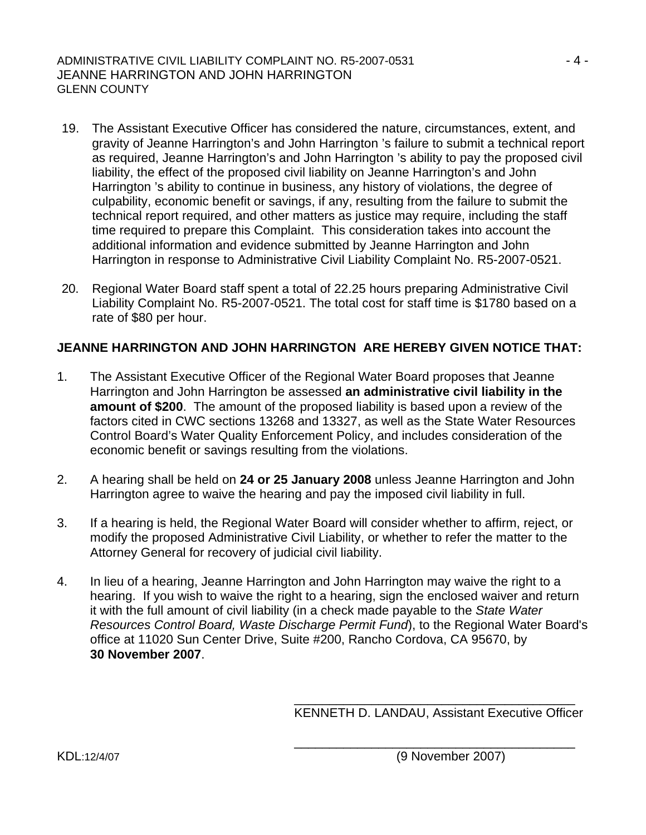- 19. The Assistant Executive Officer has considered the nature, circumstances, extent, and gravity of Jeanne Harrington's and John Harrington 's failure to submit a technical report as required, Jeanne Harrington's and John Harrington 's ability to pay the proposed civil liability, the effect of the proposed civil liability on Jeanne Harrington's and John Harrington 's ability to continue in business, any history of violations, the degree of culpability, economic benefit or savings, if any, resulting from the failure to submit the technical report required, and other matters as justice may require, including the staff time required to prepare this Complaint. This consideration takes into account the additional information and evidence submitted by Jeanne Harrington and John Harrington in response to Administrative Civil Liability Complaint No. R5-2007-0521.
- 20. Regional Water Board staff spent a total of 22.25 hours preparing Administrative Civil Liability Complaint No. R5-2007-0521. The total cost for staff time is \$1780 based on a rate of \$80 per hour.

# **JEANNE HARRINGTON AND JOHN HARRINGTON ARE HEREBY GIVEN NOTICE THAT:**

- 1. The Assistant Executive Officer of the Regional Water Board proposes that Jeanne Harrington and John Harrington be assessed **an administrative civil liability in the amount of \$200**. The amount of the proposed liability is based upon a review of the factors cited in CWC sections 13268 and 13327, as well as the State Water Resources Control Board's Water Quality Enforcement Policy, and includes consideration of the economic benefit or savings resulting from the violations.
- 2. A hearing shall be held on **24 or 25 January 2008** unless Jeanne Harrington and John Harrington agree to waive the hearing and pay the imposed civil liability in full.
- 3. If a hearing is held, the Regional Water Board will consider whether to affirm, reject, or modify the proposed Administrative Civil Liability, or whether to refer the matter to the Attorney General for recovery of judicial civil liability.
- 4. In lieu of a hearing, Jeanne Harrington and John Harrington may waive the right to a hearing. If you wish to waive the right to a hearing, sign the enclosed waiver and return it with the full amount of civil liability (in a check made payable to the *State Water Resources Control Board, Waste Discharge Permit Fund*), to the Regional Water Board's office at 11020 Sun Center Drive, Suite #200, Rancho Cordova, CA 95670, by **30 November 2007**.

 $\overline{\phantom{a}}$  , and the contract of the contract of the contract of the contract of the contract of the contract of the contract of the contract of the contract of the contract of the contract of the contract of the contrac

 $\overline{\phantom{a}}$  , and the contract of the contract of the contract of the contract of the contract of the contract of the contract of the contract of the contract of the contract of the contract of the contract of the contrac

KENNETH D. LANDAU, Assistant Executive Officer